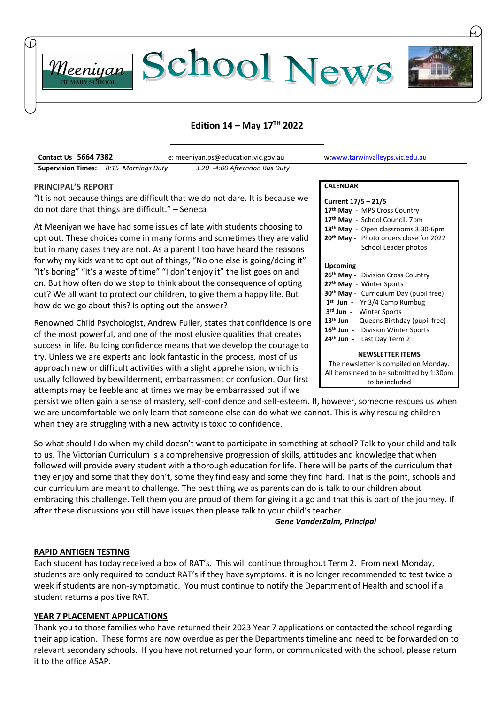



#### **Edition 14 – May 17 TH 2022**

| <b>Contact Us 5664 7382</b> |                                              | e: meeniyan.ps@education.vic.gov.au | w:www.tarwinvalleyps.vic.edu.au |  |
|-----------------------------|----------------------------------------------|-------------------------------------|---------------------------------|--|
|                             | <b>Supervision Times:</b> 8:15 Mornings Duty | 3.20 -4:00 Afternoon Bus Duty       |                                 |  |

#### **PRINCIPAL'S REPORT**

Meeniyan

"It is not because things are difficult that we do not dare. It is because we do not dare that things are difficult." – Seneca

At Meeniyan we have had some issues of late with students choosing to opt out. These choices come in many forms and sometimes they are valid but in many cases they are not. As a parent I too have heard the reasons for why my kids want to opt out of things, "No one else is going/doing it" "It's boring" "It's a waste of time" "I don't enjoy it" the list goes on and on. But how often do we stop to think about the consequence of opting out? We all want to protect our children, to give them a happy life. But how do we go about this? Is opting out the answer?

Renowned Child Psychologist, Andrew Fuller, states that confidence is one of the most powerful, and one of the most elusive qualities that creates success in life. Building confidence means that we develop the courage to try. Unless we are experts and look fantastic in the process, most of us approach new or difficult activities with a slight apprehension, which is usually followed by bewilderment, embarrassment or confusion. Our first attempts may be feeble and at times we may be embarrassed but if we

**CALENDAR**

| Current 17/5 - 21/5                                 |  |  |  |  |  |
|-----------------------------------------------------|--|--|--|--|--|
| 17th May - MPS Cross Country                        |  |  |  |  |  |
| 17 <sup>th</sup> May - School Council, 7pm          |  |  |  |  |  |
| 18 <sup>th</sup> May - Open classrooms 3.30-6pm     |  |  |  |  |  |
| 20 <sup>th</sup> May - Photo orders close for 2022  |  |  |  |  |  |
| School Leader photos                                |  |  |  |  |  |
| Upcoming                                            |  |  |  |  |  |
|                                                     |  |  |  |  |  |
| 26 <sup>th</sup> May - Division Cross Country       |  |  |  |  |  |
| 27 <sup>th</sup> May - Winter Sports                |  |  |  |  |  |
| 30 <sup>th</sup> May - Curriculum Day (pupil free)  |  |  |  |  |  |
| 1 <sup>st</sup> Jun - Yr 3/4 Camp Rumbug            |  |  |  |  |  |
| 3rd Jun - Winter Sports                             |  |  |  |  |  |
| 13 <sup>th</sup> Jun - Queens Birthday (pupil free) |  |  |  |  |  |
| 16th Jun - Division Winter Sports                   |  |  |  |  |  |
| 24 <sup>th</sup> Jun - Last Day Term 2              |  |  |  |  |  |
| <b>NEWSLETTER ITEMS</b>                             |  |  |  |  |  |
| The newsletter is compiled on Monday.               |  |  |  |  |  |

All items need to be submitted by 1:30pm to be included

persist we often gain a sense of mastery, self-confidence and self-esteem. If, however, someone rescues us when we are uncomfortable we only learn that someone else can do what we cannot. This is why rescuing children when they are struggling with a new activity is toxic to confidence.

So what should I do when my child doesn't want to participate in something at school? Talk to your child and talk to us. The Victorian Curriculum is a comprehensive progression of skills, attitudes and knowledge that when followed will provide every student with a thorough education for life. There will be parts of the curriculum that they enjoy and some that they don't, some they find easy and some they find hard. That is the point, schools and our curriculum are meant to challenge. The best thing we as parents can do is talk to our children about embracing this challenge. Tell them you are proud of them for giving it a go and that this is part of the journey. If after these discussions you still have issues then please talk to your child's teacher.

*Gene VanderZalm, Principal*

#### **RAPID ANTIGEN TESTING**

Each student has today received a box of RAT's. This will continue throughout Term 2. From next Monday, students are only required to conduct RAT's if they have symptoms. it is no longer recommended to test twice a week if students are non-symptomatic. You must continue to notify the Department of Health and school if a student returns a positive RAT.

#### **YEAR 7 PLACEMENT APPLICATIONS**

Thank you to those families who have returned their 2023 Year 7 applications or contacted the school regarding their application. These forms are now overdue as per the Departments timeline and need to be forwarded on to relevant secondary schools. If you have not returned your form, or communicated with the school, please return it to the office ASAP.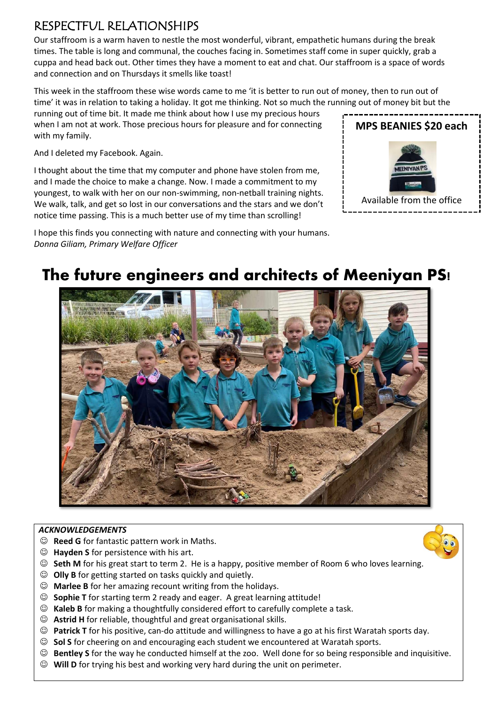### RESPECTFUL RELATIONSHIPS

Our staffroom is a warm haven to nestle the most wonderful, vibrant, empathetic humans during the break times. The table is long and communal, the couches facing in. Sometimes staff come in super quickly, grab a cuppa and head back out. Other times they have a moment to eat and chat. Our staffroom is a space of words and connection and on Thursdays it smells like toast!

This week in the staffroom these wise words came to me 'it is better to run out of money, then to run out of time' it was in relation to taking a holiday. It got me thinking. Not so much the running out of money bit but the

running out of time bit. It made me think about how I use my precious hours when I am not at work. Those precious hours for pleasure and for connecting with my family.

And I deleted my Facebook. Again.

I thought about the time that my computer and phone have stolen from me, and I made the choice to make a change. Now. I made a commitment to my youngest, to walk with her on our non-swimming, non-netball training nights. We walk, talk, and get so lost in our conversations and the stars and we don't notice time passing. This is a much better use of my time than scrolling!

I hope this finds you connecting with nature and connecting with your humans.



*Donna Giliam, Primary Welfare Officer*



#### *ACKNOWLEDGEMENTS*

- ☺ **Reed G** for fantastic pattern work in Maths.
- ☺ **Hayden S** for persistence with his art.
- ☺ **Seth M** for his great start to term 2. He is a happy, positive member of Room 6 who loves learning.
- ☺ **Olly B** for getting started on tasks quickly and quietly.
- ☺ **Marlee B** for her amazing recount writing from the holidays.
- ☺ **Sophie T** for starting term 2 ready and eager. A great learning attitude!
- ☺ **Kaleb B** for making a thoughtfully considered effort to carefully complete a task.
- ☺ **Astrid H** for reliable, thoughtful and great organisational skills.
- ☺ **Patrick T** for his positive, can-do attitude and willingness to have a go at his first Waratah sports day.
- ☺ **Sol S** for cheering on and encouraging each student we encountered at Waratah sports.
- ☺ **Bentley S** for the way he conducted himself at the zoo. Well done for so being responsible and inquisitive.
- ☺ **Will D** for trying his best and working very hard during the unit on perimeter.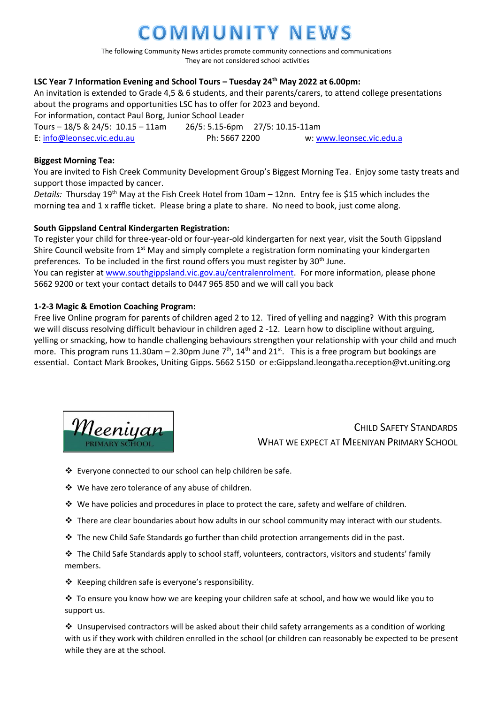## OMMUNITY NEWS

The following Community News articles promote community connections and communications They are not considered school activities

#### **LSC Year 7 Information Evening and School Tours – Tuesday 24th May 2022 at 6.00pm:**

An invitation is extended to Grade 4,5 & 6 students, and their parents/carers, to attend college presentations about the programs and opportunities LSC has to offer for 2023 and beyond. For information, contact Paul Borg, Junior School Leader Tours – 18/5 & 24/5: 10.15 – 11am 26/5: 5.15-6pm 27/5: 10.15-11am E: [info@leonsec.vic.edu.au](mailto:info@leonsec.vic.edu.au) Ph: 5667 2200 w: [www.leonsec.vic.edu.a](http://www.leonsec.vic.edu.a/)

#### **Biggest Morning Tea:**

You are invited to Fish Creek Community Development Group's Biggest Morning Tea. Enjoy some tasty treats and support those impacted by cancer.

*Details:* Thursday 19th May at the Fish Creek Hotel from 10am – 12nn. Entry fee is \$15 which includes the morning tea and 1 x raffle ticket. Please bring a plate to share. No need to book, just come along.

#### **South Gippsland Central Kindergarten Registration:**

To register your child for three-year-old or four-year-old kindergarten for next year, visit the South Gippsland Shire Council website from  $1<sup>st</sup>$  May and simply complete a registration form nominating your kindergarten preferences. To be included in the first round offers you must register by 30<sup>th</sup> June. You can register a[t www.southgippsland.vic.gov.au/centralenrolment.](http://www.southgippsland.vic.gov.au/centralenrolment) For more information, please phone 5662 9200 or text your contact details to 0447 965 850 and we will call you back

#### **1-2-3 Magic & Emotion Coaching Program:**

Free live Online program for parents of children aged 2 to 12. Tired of yelling and nagging? With this program we will discuss resolving difficult behaviour in children aged 2 -12. Learn how to discipline without arguing, yelling or smacking, how to handle challenging behaviours strengthen your relationship with your child and much more. This program runs 11.30am – 2.30pm June  $7<sup>th</sup>$ , 14<sup>th</sup> and 21<sup>st</sup>. This is a free program but bookings are essential. Contact Mark Brookes, Uniting Gipps. 5662 5150 or e:Gippsland.leongatha.reception@vt.uniting.org



CHILD SAFFTY STANDARDS WHAT WE EXPECT AT MEENIYAN PRIMARY SCHOOL

❖ Everyone connected to our school can help children be safe.

- ❖ We have zero tolerance of any abuse of children.
- ❖ We have policies and procedures in place to protect the care, safety and welfare of children.
- ❖ There are clear boundaries about how adults in our school community may interact with our students.
- ❖ The new Child Safe Standards go further than child protection arrangements did in the past.

❖ The Child Safe Standards apply to school staff, volunteers, contractors, visitors and students' family members.

❖ Keeping children safe is everyone's responsibility.

❖ To ensure you know how we are keeping your children safe at school, and how we would like you to support us.

❖ Unsupervised contractors will be asked about their child safety arrangements as a condition of working with us if they work with children enrolled in the school (or children can reasonably be expected to be present while they are at the school.